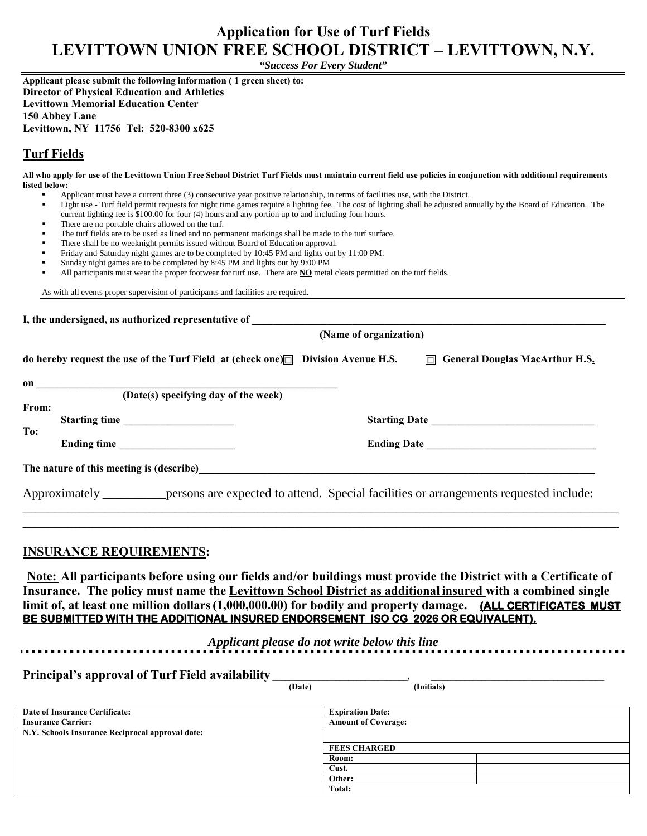# **Application for Use of Turf Fields LEVITTOWN UNION FREE SCHOOL DISTRICT – LEVITTOWN, N.Y.**

*"Success For Every Student"*

**Applicant please submit the following information ( 1 green sheet) to: Director of Physical Education and Athletics** 

**Levittown Memorial Education Center**

**150 Abbey Lane**

**Levittown, NY 11756 Tel: 520-8300 x625**

## **Turf Fields**

**All who apply for use of the Levittown Union Free School District Turf Fields must maintain current field use policies in conjunction with additional requirements listed below:**

- Applicant must have a current three (3) consecutive year positive relationship, in terms of facilities use, with the District.
- Light use Turf field permit requests for night time games require a lighting fee. The cost of lighting shall be adjusted annually by the Board of Education. The current lighting fee is \$100.00 for four (4) hours and any portion up to and including four hours.
- There are no portable chairs allowed on the turf.
- The turf fields are to be used as lined and no permanent markings shall be made to the turf surface.
- There shall be no weeknight permits issued without Board of Education approval.
- Friday and Saturday night games are to be completed by 10:45 PM and lights out by 11:00 PM.
- Sunday night games are to be completed by 8:45 PM and lights out by 9:00 PM
- All participants must wear the proper footwear for turf use. There are **NO** metal cleats permitted on the turf fields.

As with all events proper supervision of participants and facilities are required.

| do hereby request the use of the Turf Field at (check one) $\Box$ Division Avenue H.S.<br>on and the contract of the contract of the contract of the contract of the contract of the contract of the contract of the contract of the contract of the contract of the contract of the contract of the contract of the con | $\Box$ General Douglas MacArthur H.S.                                                                       |
|--------------------------------------------------------------------------------------------------------------------------------------------------------------------------------------------------------------------------------------------------------------------------------------------------------------------------|-------------------------------------------------------------------------------------------------------------|
|                                                                                                                                                                                                                                                                                                                          |                                                                                                             |
|                                                                                                                                                                                                                                                                                                                          |                                                                                                             |
| (Date(s) specifying day of the week)                                                                                                                                                                                                                                                                                     |                                                                                                             |
|                                                                                                                                                                                                                                                                                                                          |                                                                                                             |
|                                                                                                                                                                                                                                                                                                                          |                                                                                                             |
|                                                                                                                                                                                                                                                                                                                          |                                                                                                             |
|                                                                                                                                                                                                                                                                                                                          |                                                                                                             |
|                                                                                                                                                                                                                                                                                                                          |                                                                                                             |
|                                                                                                                                                                                                                                                                                                                          | Approximately _______ persons are expected to attend. Special facilities or arrangements requested include: |
|                                                                                                                                                                                                                                                                                                                          | Starting time                                                                                               |

### **INSURANCE REQUIREMENTS:**

 **Note: All participants before using our fields and/or buildings must provide the District with a Certificate of Insurance. The policy must name the Levittown School District as additional insured with a combined single limit of, at least one million dollars(1,000,000.00) for bodily and property damage. (ALL CERTIFICATES MUST BE SUBMITTED WITH THE ADDITIONAL INSURED ENDORSEMENT ISO CG 2026 OR EQUIVALENT).** 

*Applicant please do not write below this line*

**Principal's approval of Turf Field availability** 

 **(Date) (Initials)**

| <b>Date of Insurance Certificate:</b>            | <b>Expiration Date:</b>    |
|--------------------------------------------------|----------------------------|
| <b>Insurance Carrier:</b>                        | <b>Amount of Coverage:</b> |
| N.Y. Schools Insurance Reciprocal approval date: |                            |
|                                                  | <b>FEES CHARGED</b>        |
|                                                  | Room:                      |
|                                                  | Cust.                      |
|                                                  | Other:                     |
|                                                  | Total:                     |